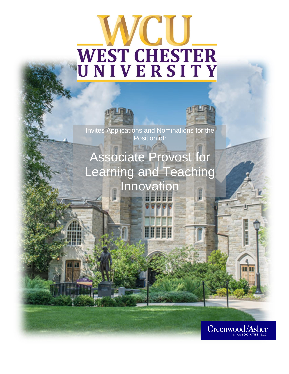# TCIU WEST CHESTER<br>UNIVERSITY



Invites Applications and Nominations for the Position of:

Associate Provost for Learning and Teaching Innovation

ШШ

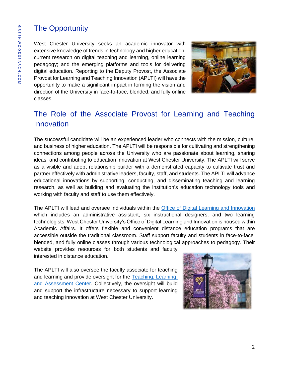## The Opportunity

West Chester University seeks an academic innovator with extensive knowledge of trends in technology and higher education; current research on digital teaching and learning, online learning pedagogy; and the emerging platforms and tools for delivering digital education. Reporting to the Deputy Provost, the Associate Provost for Learning and Teaching Innovation (APLTI) will have the opportunity to make a significant impact in forming the vision and direction of the University in face-to-face, blended, and fully online classes.



## The Role of the Associate Provost for Learning and Teaching Innovation

The successful candidate will be an experienced leader who connects with the mission, culture, and business of higher education. The APLTI will be responsible for cultivating and strengthening connections among people across the University who are passionate about learning, sharing ideas, and contributing to education innovation at West Chester University. The APLTI will serve as a visible and adept relationship builder with a demonstrated capacity to cultivate trust and partner effectively with administrative leaders, faculty, staff, and students. The APLTI will advance educational innovations by supporting, conducting, and disseminating teaching and learning research, as well as building and evaluating the institution's education technology tools and working with faculty and staff to use them effectively.

The APLTI will lead and oversee individuals within the [Office of Digital Learning and Innovation](https://www.wcupa.edu/distanceEd/default.aspx) which includes an administrative assistant, six instructional designers, and two learning technologists. West Chester University's Office of Digital Learning and Innovation is housed within Academic Affairs. It offers flexible and convenient distance education programs that are accessible outside the traditional classroom. Staff support faculty and students in face-to-face, blended, and fully online classes through various technological approaches to pedagogy. Their

website provides resources for both students and faculty interested in distance education.

The APLTI will also oversee the faculty associate for teaching and learning and provide oversight for the [Teaching, Learning,](https://www.wcupa.edu/tlac/)  [and Assessment Center.](https://www.wcupa.edu/tlac/) Collectively, the oversight will build and support the infrastructure necessary to support learning and teaching innovation at West Chester University.

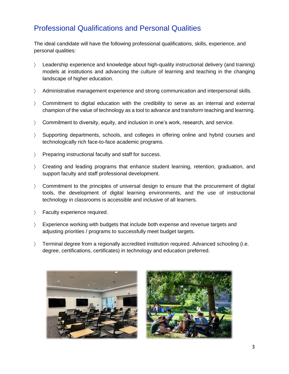## Professional Qualifications and Personal Qualities

The ideal candidate will have the following professional qualifications, skills, experience, and personal qualities:

- Leadership experience and knowledge about high-quality instructional delivery (and training) models at institutions and advancing the culture of learning and teaching in the changing landscape of higher education.
- Administrative management experience and strong communication and interpersonal skills.
- Commitment to digital education with the credibility to serve as an internal and external champion of the value of technology as a tool to advance and transform teaching and learning.
- Commitment to diversity, equity, and inclusion in one's work, research, and service.
- Supporting departments, schools, and colleges in offering online and hybrid courses and technologically rich face-to-face academic programs.
- > Preparing instructional faculty and staff for success.
- Creating and leading programs that enhance student learning, retention, graduation, and support faculty and staff professional development.
- Commitment to the principles of universal design to ensure that the procurement of digital tools, the development of digital learning environments, and the use of instructional technology in classrooms is accessible and inclusive of all learners.
- > Faculty experience required.
- Experience working with budgets that include both expense and revenue targets and adjusting priorities / programs to successfully meet budget targets.
- Terminal degree from a regionally accredited institution required. Advanced schooling (i.e. degree, certifications, certificates) in technology and education preferred.



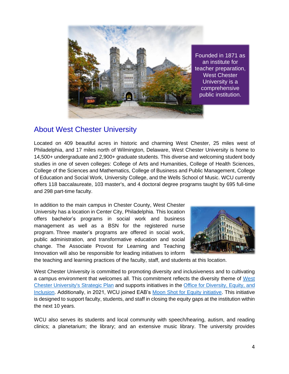

## About West Chester University

Located on 409 beautiful acres in historic and charming West Chester, 25 miles west of Philadelphia, and 17 miles north of Wilmington, Delaware, West Chester University is home to 14,500+ undergraduate and 2,900+ graduate students. This diverse and welcoming student body studies in one of seven colleges: College of Arts and Humanities, College of Health Sciences, College of the Sciences and Mathematics, College of Business and Public Management, College of Education and Social Work, University College, and the Wells School of Music. WCU currently offers 118 baccalaureate, 103 master's, and 4 doctoral degree programs taught by 695 full-time and 298 part-time faculty.

In addition to the main campus in Chester County, West Chester University has a location in Center City, Philadelphia. This location offers bachelor's programs in social work and business management as well as a BSN for the registered nurse program. Three master's programs are offered in social work, public administration, and transformative education and social change. The Associate Provost for Learning and Teaching Innovation will also be responsible for leading initiatives to inform



the teaching and learning practices of the faculty, staff, and students at this location.

West Chester University is committed to promoting diversity and inclusiveness and to cultivating a campus environment that welcomes all. This commitment reflects the diversity theme of [West](https://www.wcupa.edu/president/strategicPlan/default.aspx)  [Chester University's Strategic Plan](https://www.wcupa.edu/president/strategicPlan/default.aspx) and supports initiatives in the [Office for Diversity, Equity, and](https://www.wcupa.edu/_admin/diversityEquityInclusion/)  [Inclusion.](https://www.wcupa.edu/_admin/diversityEquityInclusion/) Additionally, in 2021, WCU joined EAB's [Moon Shot for Equity initiative.](https://eab.com/moon-shot-for-equity/) This initiative is designed to support faculty, students, and staff in closing the equity gaps at the institution within the next 10 years.

WCU also serves its students and local community with speech/hearing, autism, and reading clinics; a planetarium; the library; and an extensive music library. The university provides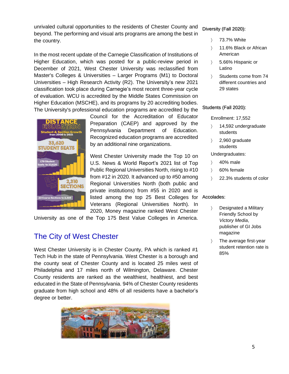unrivaled cultural opportunities to the residents of Chester County and beyond. The performing and visual arts programs are among the best in the country.

In the most recent update of the Carnegie Classification of Institutions of Higher Education, which was posted for a public-review period in December of 2021, West Chester University was reclassified from Master's Colleges & Universities – Larger Programs (M1) to Doctoral Universities – High Research Activity (R2). The University's new 2021 classification took place during Carnegie's most recent three-year cycle of evaluation. WCU is accredited by the Middle States Commission on Higher Education (MSCHE), and its programs by 20 accrediting bodies. The University's professional education programs are accredited by the



Council for the Accreditation of Educator Preparation (CAEP) and approved by the Pennsylvania Department of Education. Recognized education programs are accredited by an additional nine organizations.

West Chester University made the Top 10 on U.S. News & World Report's 2021 list of Top Public Regional Universities North, rising to #10 from #12 in 2020. It advanced up to #50 among Regional Universities North (both public and private institutions) from #55 in 2020 and is listed among the top 25 Best Colleges for Accolades: Veterans (Regional Universities North). In 2020, Money magazine ranked West Chester

University as one of the Top 175 Best Value Colleges in America.

## The City of West Chester

West Chester University is in Chester County, PA which is ranked #1 Tech Hub in the state of Pennsylvania. West Chester is a borough and the county seat of Chester County and is located 25 miles west of Philadelphia and 17 miles north of Wilmington, Delaware. Chester County residents are ranked as the wealthiest, healthiest, and best educated in the State of Pennsylvania. 94% of Chester County residents graduate from high school and 48% of all residents have a bachelor's degree or better.



#### Diversity (Fall 2020):

- 73.7% White
- 11.6% Black or African American
- 5.66% Hispanic or Latino
- Students come from 74 different countries and 29 states

#### Students (Fall 2020):

Enrollment: 17,552

- $\angle$  14,592 undergraduate students
- 2,960 graduate students

#### Undergraduates:

- $\angle$  40% male
- 60% female
- 22.3% students of color

- Designated a Military Friendly School by *Victory Media*, publisher of GI Jobs magazine
- > The average first-year student retention rate is 85%